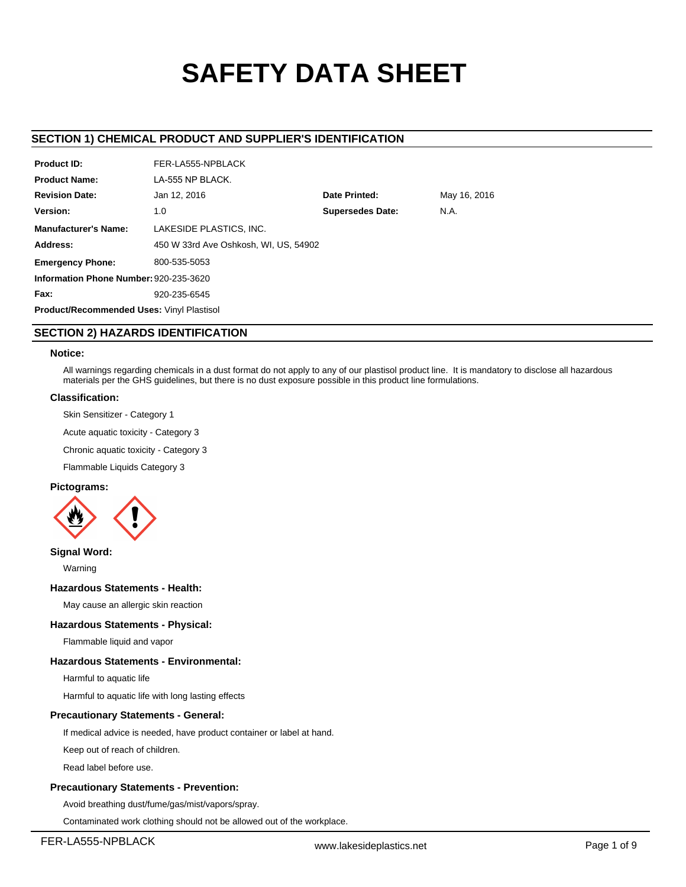# **SAFETY DATA SHEET**

# **SECTION 1) CHEMICAL PRODUCT AND SUPPLIER'S IDENTIFICATION**

| <b>Product ID:</b>                               | FER-LA555-NPBLACK                     |                                 |              |  |  |  |  |
|--------------------------------------------------|---------------------------------------|---------------------------------|--------------|--|--|--|--|
| <b>Product Name:</b>                             | LA-555 NP BLACK.                      |                                 |              |  |  |  |  |
| <b>Revision Date:</b>                            | Jan 12, 2016                          | <b>Date Printed:</b>            | May 16, 2016 |  |  |  |  |
| Version:                                         | 1.0                                   | <b>Supersedes Date:</b><br>N.A. |              |  |  |  |  |
| <b>Manufacturer's Name:</b>                      | LAKESIDE PLASTICS, INC.               |                                 |              |  |  |  |  |
| Address:                                         | 450 W 33rd Ave Oshkosh, WI, US, 54902 |                                 |              |  |  |  |  |
| <b>Emergency Phone:</b>                          | 800-535-5053                          |                                 |              |  |  |  |  |
| Information Phone Number: 920-235-3620           |                                       |                                 |              |  |  |  |  |
| Fax:                                             | 920-235-6545                          |                                 |              |  |  |  |  |
| <b>Product/Recommended Uses: Vinyl Plastisol</b> |                                       |                                 |              |  |  |  |  |
|                                                  |                                       |                                 |              |  |  |  |  |

# **SECTION 2) HAZARDS IDENTIFICATION**

## **Notice:**

All warnings regarding chemicals in a dust format do not apply to any of our plastisol product line. It is mandatory to disclose all hazardous materials per the GHS guidelines, but there is no dust exposure possible in this product line formulations.

## **Classification:**

Skin Sensitizer - Category 1

Acute aquatic toxicity - Category 3

Chronic aquatic toxicity - Category 3

Flammable Liquids Category 3

# **Pictograms:**



## **Signal Word:**

Warning

## **Hazardous Statements - Health:**

May cause an allergic skin reaction

## **Hazardous Statements - Physical:**

Flammable liquid and vapor

## **Hazardous Statements - Environmental:**

Harmful to aquatic life

Harmful to aquatic life with long lasting effects

## **Precautionary Statements - General:**

If medical advice is needed, have product container or label at hand.

Keep out of reach of children.

Read label before use.

## **Precautionary Statements - Prevention:**

Avoid breathing dust/fume/gas/mist/vapors/spray.

Contaminated work clothing should not be allowed out of the workplace.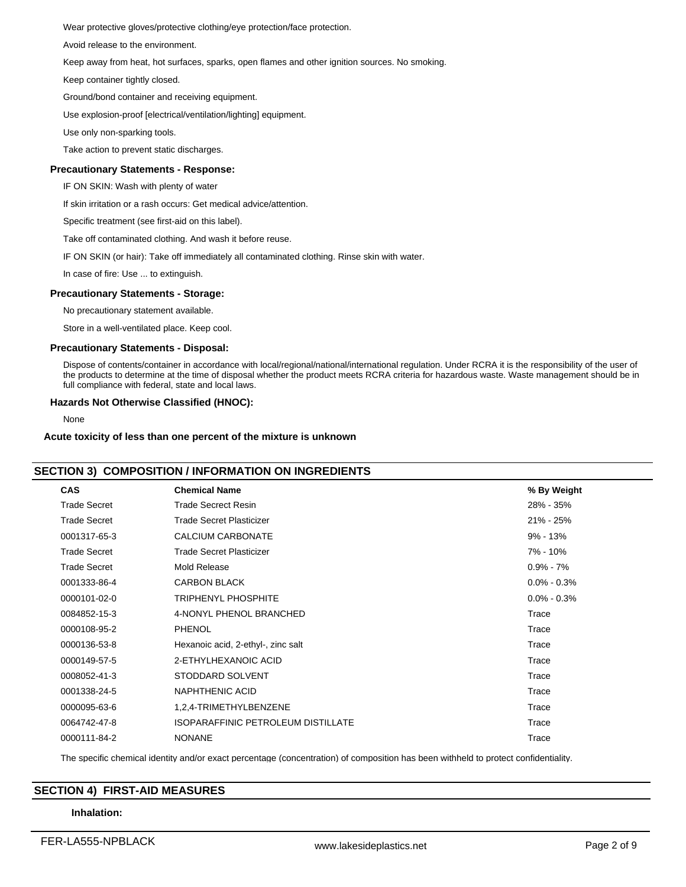Wear protective gloves/protective clothing/eye protection/face protection.

Avoid release to the environment.

Keep away from heat, hot surfaces, sparks, open flames and other ignition sources. No smoking.

Keep container tightly closed.

Ground/bond container and receiving equipment.

Use explosion-proof [electrical/ventilation/lighting] equipment.

Use only non-sparking tools.

Take action to prevent static discharges.

## **Precautionary Statements - Response:**

IF ON SKIN: Wash with plenty of water

If skin irritation or a rash occurs: Get medical advice/attention.

Specific treatment (see first-aid on this label).

Take off contaminated clothing. And wash it before reuse.

IF ON SKIN (or hair): Take off immediately all contaminated clothing. Rinse skin with water.

In case of fire: Use ... to extinguish.

## **Precautionary Statements - Storage:**

No precautionary statement available.

Store in a well-ventilated place. Keep cool.

## **Precautionary Statements - Disposal:**

Dispose of contents/container in accordance with local/regional/national/international regulation. Under RCRA it is the responsibility of the user of the products to determine at the time of disposal whether the product meets RCRA criteria for hazardous waste. Waste management should be in full compliance with federal, state and local laws.

## **Hazards Not Otherwise Classified (HNOC):**

None

#### **Acute toxicity of less than one percent of the mixture is unknown**

# **SECTION 3) COMPOSITION / INFORMATION ON INGREDIENTS**

| <b>Trade Secret</b><br><b>Trade Secrect Resin</b><br>28% - 35%<br><b>Trade Secret Plasticizer</b><br><b>Trade Secret</b><br>21% - 25%<br><b>CALCIUM CARBONATE</b><br>0001317-65-3<br>$9\% - 13\%$<br><b>Trade Secret</b><br><b>Trade Secret Plasticizer</b><br>7% - 10%<br><b>Trade Secret</b><br>Mold Release<br>$0.9\% - 7\%$<br><b>CARBON BLACK</b><br>0001333-86-4<br>$0.0\% - 0.3\%$<br><b>TRIPHENYL PHOSPHITE</b><br>0000101-02-0<br>$0.0\% - 0.3\%$<br>4-NONYL PHENOL BRANCHED<br>0084852-15-3<br>Trace<br><b>PHENOL</b><br>0000108-95-2<br>Trace<br>0000136-53-8<br>Trace<br>Hexanoic acid, 2-ethyl-, zinc salt<br>2-ETHYLHEXANOIC ACID<br>Trace<br>0000149-57-5<br>STODDARD SOLVENT<br>0008052-41-3<br>Trace<br>NAPHTHENIC ACID<br>0001338-24-5<br>Trace<br>1,2,4-TRIMETHYLBENZENE<br>0000095-63-6<br>Trace<br>ISOPARAFFINIC PETROLEUM DISTILLATE<br>0064742-47-8<br>Trace<br>0000111-84-2<br><b>NONANE</b><br>Trace | <b>CAS</b> | <b>Chemical Name</b> | % By Weight |
|-------------------------------------------------------------------------------------------------------------------------------------------------------------------------------------------------------------------------------------------------------------------------------------------------------------------------------------------------------------------------------------------------------------------------------------------------------------------------------------------------------------------------------------------------------------------------------------------------------------------------------------------------------------------------------------------------------------------------------------------------------------------------------------------------------------------------------------------------------------------------------------------------------------------------------|------------|----------------------|-------------|
|                                                                                                                                                                                                                                                                                                                                                                                                                                                                                                                                                                                                                                                                                                                                                                                                                                                                                                                               |            |                      |             |
|                                                                                                                                                                                                                                                                                                                                                                                                                                                                                                                                                                                                                                                                                                                                                                                                                                                                                                                               |            |                      |             |
|                                                                                                                                                                                                                                                                                                                                                                                                                                                                                                                                                                                                                                                                                                                                                                                                                                                                                                                               |            |                      |             |
|                                                                                                                                                                                                                                                                                                                                                                                                                                                                                                                                                                                                                                                                                                                                                                                                                                                                                                                               |            |                      |             |
|                                                                                                                                                                                                                                                                                                                                                                                                                                                                                                                                                                                                                                                                                                                                                                                                                                                                                                                               |            |                      |             |
|                                                                                                                                                                                                                                                                                                                                                                                                                                                                                                                                                                                                                                                                                                                                                                                                                                                                                                                               |            |                      |             |
|                                                                                                                                                                                                                                                                                                                                                                                                                                                                                                                                                                                                                                                                                                                                                                                                                                                                                                                               |            |                      |             |
|                                                                                                                                                                                                                                                                                                                                                                                                                                                                                                                                                                                                                                                                                                                                                                                                                                                                                                                               |            |                      |             |
|                                                                                                                                                                                                                                                                                                                                                                                                                                                                                                                                                                                                                                                                                                                                                                                                                                                                                                                               |            |                      |             |
|                                                                                                                                                                                                                                                                                                                                                                                                                                                                                                                                                                                                                                                                                                                                                                                                                                                                                                                               |            |                      |             |
|                                                                                                                                                                                                                                                                                                                                                                                                                                                                                                                                                                                                                                                                                                                                                                                                                                                                                                                               |            |                      |             |
|                                                                                                                                                                                                                                                                                                                                                                                                                                                                                                                                                                                                                                                                                                                                                                                                                                                                                                                               |            |                      |             |
|                                                                                                                                                                                                                                                                                                                                                                                                                                                                                                                                                                                                                                                                                                                                                                                                                                                                                                                               |            |                      |             |
|                                                                                                                                                                                                                                                                                                                                                                                                                                                                                                                                                                                                                                                                                                                                                                                                                                                                                                                               |            |                      |             |
|                                                                                                                                                                                                                                                                                                                                                                                                                                                                                                                                                                                                                                                                                                                                                                                                                                                                                                                               |            |                      |             |
|                                                                                                                                                                                                                                                                                                                                                                                                                                                                                                                                                                                                                                                                                                                                                                                                                                                                                                                               |            |                      |             |

The specific chemical identity and/or exact percentage (concentration) of composition has been withheld to protect confidentiality.

# **SECTION 4) FIRST-AID MEASURES**

## **Inhalation:**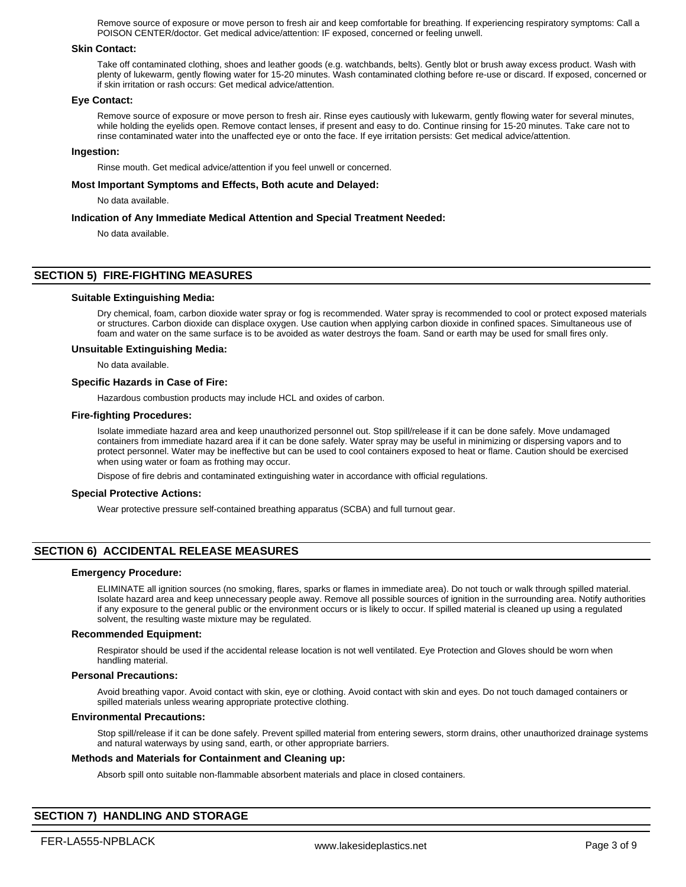Remove source of exposure or move person to fresh air and keep comfortable for breathing. If experiencing respiratory symptoms: Call a POISON CENTER/doctor. Get medical advice/attention: IF exposed, concerned or feeling unwell.

## **Skin Contact:**

Take off contaminated clothing, shoes and leather goods (e.g. watchbands, belts). Gently blot or brush away excess product. Wash with plenty of lukewarm, gently flowing water for 15-20 minutes. Wash contaminated clothing before re-use or discard. If exposed, concerned or if skin irritation or rash occurs: Get medical advice/attention.

#### **Eye Contact:**

Remove source of exposure or move person to fresh air. Rinse eyes cautiously with lukewarm, gently flowing water for several minutes, while holding the eyelids open. Remove contact lenses, if present and easy to do. Continue rinsing for 15-20 minutes. Take care not to rinse contaminated water into the unaffected eye or onto the face. If eye irritation persists: Get medical advice/attention.

#### **Ingestion:**

Rinse mouth. Get medical advice/attention if you feel unwell or concerned.

#### **Most Important Symptoms and Effects, Both acute and Delayed:**

No data available.

#### **Indication of Any Immediate Medical Attention and Special Treatment Needed:**

No data available.

# **SECTION 5) FIRE-FIGHTING MEASURES**

#### **Suitable Extinguishing Media:**

Dry chemical, foam, carbon dioxide water spray or fog is recommended. Water spray is recommended to cool or protect exposed materials or structures. Carbon dioxide can displace oxygen. Use caution when applying carbon dioxide in confined spaces. Simultaneous use of foam and water on the same surface is to be avoided as water destroys the foam. Sand or earth may be used for small fires only.

#### **Unsuitable Extinguishing Media:**

No data available.

#### **Specific Hazards in Case of Fire:**

Hazardous combustion products may include HCL and oxides of carbon.

#### **Fire-fighting Procedures:**

Isolate immediate hazard area and keep unauthorized personnel out. Stop spill/release if it can be done safely. Move undamaged containers from immediate hazard area if it can be done safely. Water spray may be useful in minimizing or dispersing vapors and to protect personnel. Water may be ineffective but can be used to cool containers exposed to heat or flame. Caution should be exercised when using water or foam as frothing may occur.

Dispose of fire debris and contaminated extinguishing water in accordance with official regulations.

#### **Special Protective Actions:**

Wear protective pressure self-contained breathing apparatus (SCBA) and full turnout gear.

## **SECTION 6) ACCIDENTAL RELEASE MEASURES**

#### **Emergency Procedure:**

ELIMINATE all ignition sources (no smoking, flares, sparks or flames in immediate area). Do not touch or walk through spilled material. Isolate hazard area and keep unnecessary people away. Remove all possible sources of ignition in the surrounding area. Notify authorities if any exposure to the general public or the environment occurs or is likely to occur. If spilled material is cleaned up using a regulated solvent, the resulting waste mixture may be regulated.

## **Recommended Equipment:**

Respirator should be used if the accidental release location is not well ventilated. Eye Protection and Gloves should be worn when handling material.

#### **Personal Precautions:**

Avoid breathing vapor. Avoid contact with skin, eye or clothing. Avoid contact with skin and eyes. Do not touch damaged containers or spilled materials unless wearing appropriate protective clothing.

#### **Environmental Precautions:**

Stop spill/release if it can be done safely. Prevent spilled material from entering sewers, storm drains, other unauthorized drainage systems and natural waterways by using sand, earth, or other appropriate barriers.

## **Methods and Materials for Containment and Cleaning up:**

Absorb spill onto suitable non-flammable absorbent materials and place in closed containers.

# **SECTION 7) HANDLING AND STORAGE**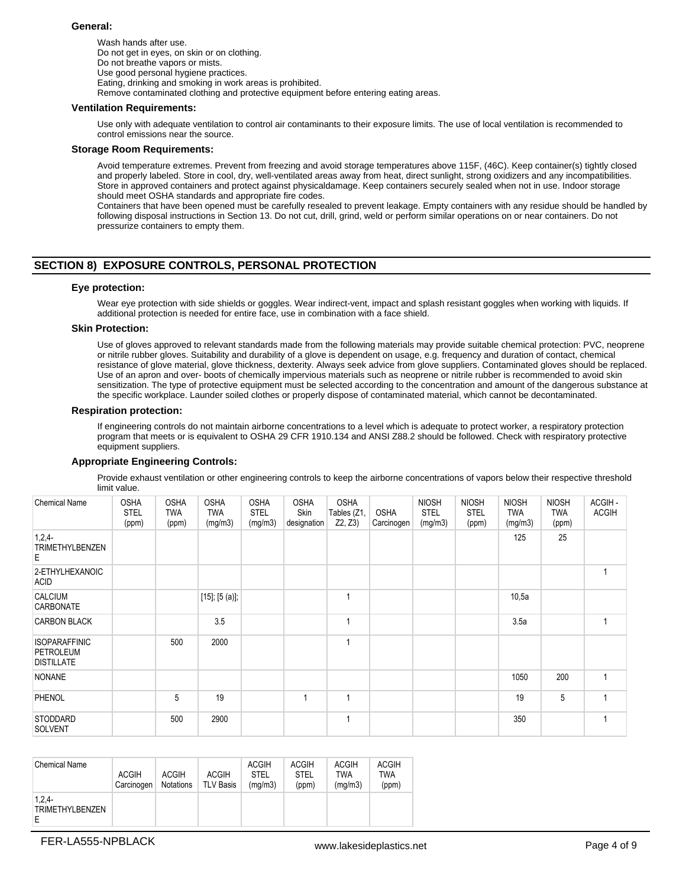## **General:**

Wash hands after use. Do not get in eyes, on skin or on clothing. Do not breathe vapors or mists. Use good personal hygiene practices. Eating, drinking and smoking in work areas is prohibited. Remove contaminated clothing and protective equipment before entering eating areas.

## **Ventilation Requirements:**

Use only with adequate ventilation to control air contaminants to their exposure limits. The use of local ventilation is recommended to control emissions near the source.

#### **Storage Room Requirements:**

Avoid temperature extremes. Prevent from freezing and avoid storage temperatures above 115F, (46C). Keep container(s) tightly closed and properly labeled. Store in cool, dry, well-ventilated areas away from heat, direct sunlight, strong oxidizers and any incompatibilities. Store in approved containers and protect against physicaldamage. Keep containers securely sealed when not in use. Indoor storage should meet OSHA standards and appropriate fire codes.

Containers that have been opened must be carefully resealed to prevent leakage. Empty containers with any residue should be handled by following disposal instructions in Section 13. Do not cut, drill, grind, weld or perform similar operations on or near containers. Do not pressurize containers to empty them.

# **SECTION 8) EXPOSURE CONTROLS, PERSONAL PROTECTION**

## **Eye protection:**

Wear eye protection with side shields or goggles. Wear indirect-vent, impact and splash resistant goggles when working with liquids. If additional protection is needed for entire face, use in combination with a face shield.

#### **Skin Protection:**

Use of gloves approved to relevant standards made from the following materials may provide suitable chemical protection: PVC, neoprene or nitrile rubber gloves. Suitability and durability of a glove is dependent on usage, e.g. frequency and duration of contact, chemical resistance of glove material, glove thickness, dexterity. Always seek advice from glove suppliers. Contaminated gloves should be replaced. Use of an apron and over- boots of chemically impervious materials such as neoprene or nitrile rubber is recommended to avoid skin sensitization. The type of protective equipment must be selected according to the concentration and amount of the dangerous substance at the specific workplace. Launder soiled clothes or properly dispose of contaminated material, which cannot be decontaminated.

#### **Respiration protection:**

If engineering controls do not maintain airborne concentrations to a level which is adequate to protect worker, a respiratory protection program that meets or is equivalent to OSHA 29 CFR 1910.134 and ANSI Z88.2 should be followed. Check with respiratory protective equipment suppliers.

## **Appropriate Engineering Controls:**

Provide exhaust ventilation or other engineering controls to keep the airborne concentrations of vapors below their respective threshold limit value.

| <b>Chemical Name</b>                                          | <b>OSHA</b><br><b>STEL</b><br>(ppm) | <b>OSHA</b><br><b>TWA</b><br>(ppm) | <b>OSHA</b><br><b>TWA</b><br>(mg/m3) | <b>OSHA</b><br><b>STEL</b><br>(mg/m3) | <b>OSHA</b><br>Skin<br>designation | <b>OSHA</b><br>Tables (Z1,<br>Z2, Z3) | <b>OSHA</b><br>Carcinogen | <b>NIOSH</b><br><b>STEL</b><br>(mg/m3) | <b>NIOSH</b><br><b>STEL</b><br>(ppm) | <b>NIOSH</b><br><b>TWA</b><br>(mg/m3) | <b>NIOSH</b><br><b>TWA</b><br>(ppm) | ACGIH-<br><b>ACGIH</b> |
|---------------------------------------------------------------|-------------------------------------|------------------------------------|--------------------------------------|---------------------------------------|------------------------------------|---------------------------------------|---------------------------|----------------------------------------|--------------------------------------|---------------------------------------|-------------------------------------|------------------------|
| 1,2,4<br><b>TRIMETHYLBENZEN</b><br>Е                          |                                     |                                    |                                      |                                       |                                    |                                       |                           |                                        |                                      | 125                                   | 25                                  |                        |
| 2-ETHYLHEXANOIC<br><b>ACID</b>                                |                                     |                                    |                                      |                                       |                                    |                                       |                           |                                        |                                      |                                       |                                     |                        |
| <b>CALCIUM</b><br>CARBONATE                                   |                                     |                                    | $[15]$ ; $[5 (a)]$ ;                 |                                       |                                    | 1                                     |                           |                                        |                                      | 10,5a                                 |                                     |                        |
| <b>CARBON BLACK</b>                                           |                                     |                                    | 3.5                                  |                                       |                                    | и                                     |                           |                                        |                                      | 3.5a                                  |                                     |                        |
| <b>ISOPARAFFINIC</b><br><b>PETROLEUM</b><br><b>DISTILLATE</b> |                                     | 500                                | 2000                                 |                                       |                                    | 1                                     |                           |                                        |                                      |                                       |                                     |                        |
| <b>NONANE</b>                                                 |                                     |                                    |                                      |                                       |                                    |                                       |                           |                                        |                                      | 1050                                  | 200                                 | 1                      |
| PHENOL                                                        |                                     | 5                                  | 19                                   |                                       | 1                                  | 1                                     |                           |                                        |                                      | 19                                    | 5                                   |                        |
| <b>STODDARD</b><br><b>SOLVENT</b>                             |                                     | 500                                | 2900                                 |                                       |                                    | 1                                     |                           |                                        |                                      | 350                                   |                                     |                        |

| <b>Chemical Name</b>               | <b>ACGIH</b><br>Carcinogen | <b>ACGIH</b><br>Notations | <b>ACGIH</b><br><b>TLV Basis</b> | <b>ACGIH</b><br><b>STEL</b><br>(mg/m3) | <b>ACGIH</b><br><b>STEL</b><br>(ppm) | <b>ACGIH</b><br>TWA<br>(mg/m3) | <b>ACGIH</b><br><b>TWA</b><br>(ppm) |
|------------------------------------|----------------------------|---------------------------|----------------------------------|----------------------------------------|--------------------------------------|--------------------------------|-------------------------------------|
| $1,2,4-$<br><b>TRIMETHYLBENZEN</b> |                            |                           |                                  |                                        |                                      |                                |                                     |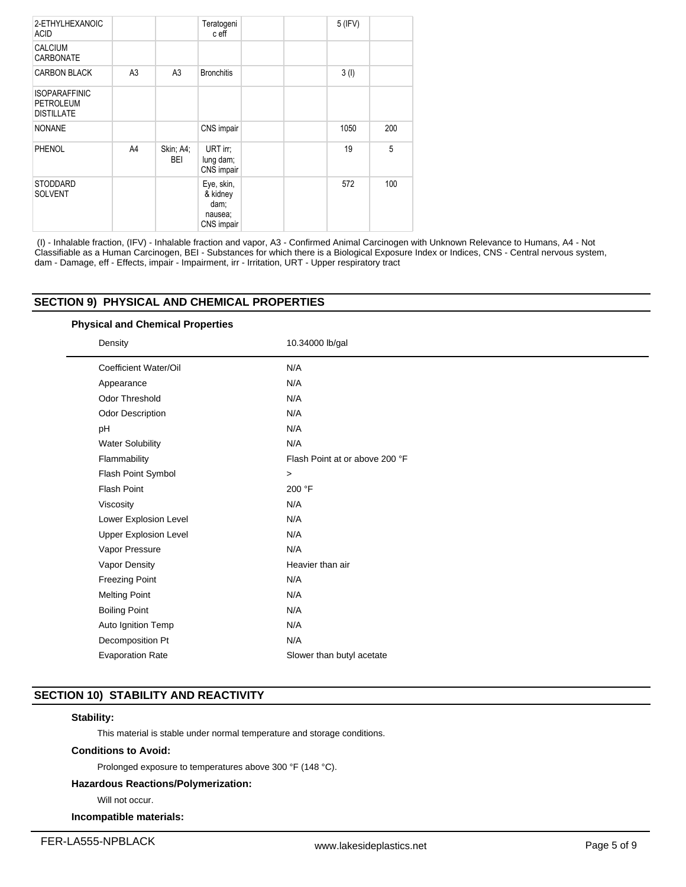| 2-ETHYLHEXANOIC<br><b>ACID</b>                                |                |                  | Teratogeni<br>c eff                                     | 5 (IFV) |     |
|---------------------------------------------------------------|----------------|------------------|---------------------------------------------------------|---------|-----|
| <b>CALCIUM</b><br>CARBONATE                                   |                |                  |                                                         |         |     |
| <b>CARBON BLACK</b>                                           | A <sub>3</sub> | A <sub>3</sub>   | <b>Bronchitis</b>                                       | 3(1)    |     |
| <b>ISOPARAFFINIC</b><br><b>PETROLEUM</b><br><b>DISTILLATE</b> |                |                  |                                                         |         |     |
| <b>NONANE</b>                                                 |                |                  | CNS impair                                              | 1050    | 200 |
| PHENOL                                                        | A4             | Skin; A4;<br>BEI | URT irr;<br>lung dam;<br>CNS impair                     | 19      | 5   |
| <b>STODDARD</b><br><b>SOLVENT</b>                             |                |                  | Eye, skin,<br>& kidney<br>dam;<br>nausea;<br>CNS impair | 572     | 100 |

 (I) - Inhalable fraction, (IFV) - Inhalable fraction and vapor, A3 - Confirmed Animal Carcinogen with Unknown Relevance to Humans, A4 - Not Classifiable as a Human Carcinogen, BEI - Substances for which there is a Biological Exposure Index or Indices, CNS - Central nervous system, dam - Damage, eff - Effects, impair - Impairment, irr - Irritation, URT - Upper respiratory tract

# **SECTION 9) PHYSICAL AND CHEMICAL PROPERTIES**

**Physical and Chemical Properties**

| Density                      | 10.34000 lb/gal                |
|------------------------------|--------------------------------|
| Coefficient Water/Oil        | N/A                            |
| Appearance                   | N/A                            |
| <b>Odor Threshold</b>        | N/A                            |
| Odor Description             | N/A                            |
| pH                           | N/A                            |
| <b>Water Solubility</b>      | N/A                            |
| Flammability                 | Flash Point at or above 200 °F |
| Flash Point Symbol           | $\geq$                         |
| <b>Flash Point</b>           | 200 °F                         |
| Viscosity                    | N/A                            |
| Lower Explosion Level        | N/A                            |
| <b>Upper Explosion Level</b> | N/A                            |
| Vapor Pressure               | N/A                            |
| Vapor Density                | Heavier than air               |
| <b>Freezing Point</b>        | N/A                            |
| <b>Melting Point</b>         | N/A                            |
| <b>Boiling Point</b>         | N/A                            |
| Auto Ignition Temp           | N/A                            |
| Decomposition Pt             | N/A                            |
| <b>Evaporation Rate</b>      | Slower than butyl acetate      |

# **SECTION 10) STABILITY AND REACTIVITY**

# **Stability:**

This material is stable under normal temperature and storage conditions.

# **Conditions to Avoid:**

Prolonged exposure to temperatures above 300 °F (148 °C).

# **Hazardous Reactions/Polymerization:**

Will not occur.

# **Incompatible materials:**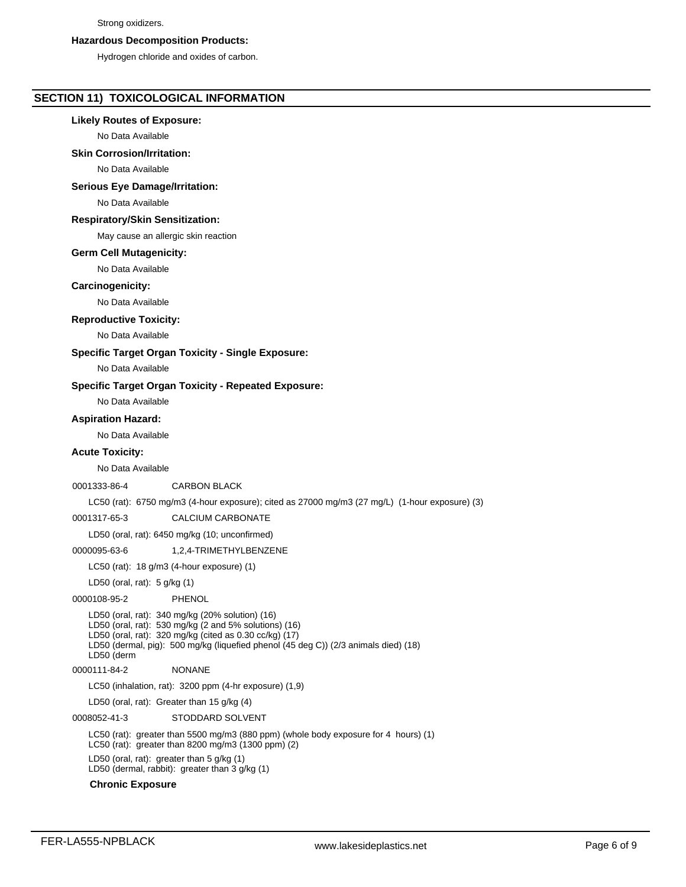#### Strong oxidizers.

## **Hazardous Decomposition Products:**

Hydrogen chloride and oxides of carbon.

# **SECTION 11) TOXICOLOGICAL INFORMATION**

# **Likely Routes of Exposure:**

No Data Available

# **Skin Corrosion/Irritation:**

No Data Available

# **Serious Eye Damage/Irritation:**

No Data Available

# **Respiratory/Skin Sensitization:**

May cause an allergic skin reaction

# **Germ Cell Mutagenicity:**

No Data Available

# **Carcinogenicity:**

No Data Available

# **Reproductive Toxicity:**

No Data Available

# **Specific Target Organ Toxicity - Single Exposure:**

No Data Available

# **Specific Target Organ Toxicity - Repeated Exposure:**

No Data Available

# **Aspiration Hazard:**

No Data Available

# **Acute Toxicity:**

No Data Available

# 0001333-86-4 CARBON BLACK

LC50 (rat): 6750 mg/m3 (4-hour exposure); cited as 27000 mg/m3 (27 mg/L) (1-hour exposure) (3)

0001317-65-3 CALCIUM CARBONATE

LD50 (oral, rat): 6450 mg/kg (10; unconfirmed)

0000095-63-6 1,2,4-TRIMETHYLBENZENE

LC50 (rat): 18 g/m3 (4-hour exposure) (1)

LD50 (oral, rat): 5 g/kg (1)

# 0000108-95-2 PHENOL

LD50 (oral, rat): 340 mg/kg (20% solution) (16) LD50 (oral, rat): 530 mg/kg (2 and 5% solutions) (16) LD50 (oral, rat): 320 mg/kg (cited as 0.30 cc/kg) (17) LD50 (dermal, pig): 500 mg/kg (liquefied phenol (45 deg C)) (2/3 animals died) (18) LD50 (derm 0000111-84-2 NONANE LC50 (inhalation, rat): 3200 ppm (4-hr exposure) (1,9) LD50 (oral, rat): Greater than 15 g/kg (4) 0008052-41-3 STODDARD SOLVENT

LC50 (rat): greater than 5500 mg/m3 (880 ppm) (whole body exposure for 4 hours) (1) LC50 (rat): greater than 8200 mg/m3 (1300 ppm) (2)

LD50 (oral, rat): greater than 5 g/kg (1) LD50 (dermal, rabbit): greater than 3 g/kg (1)

# **Chronic Exposure**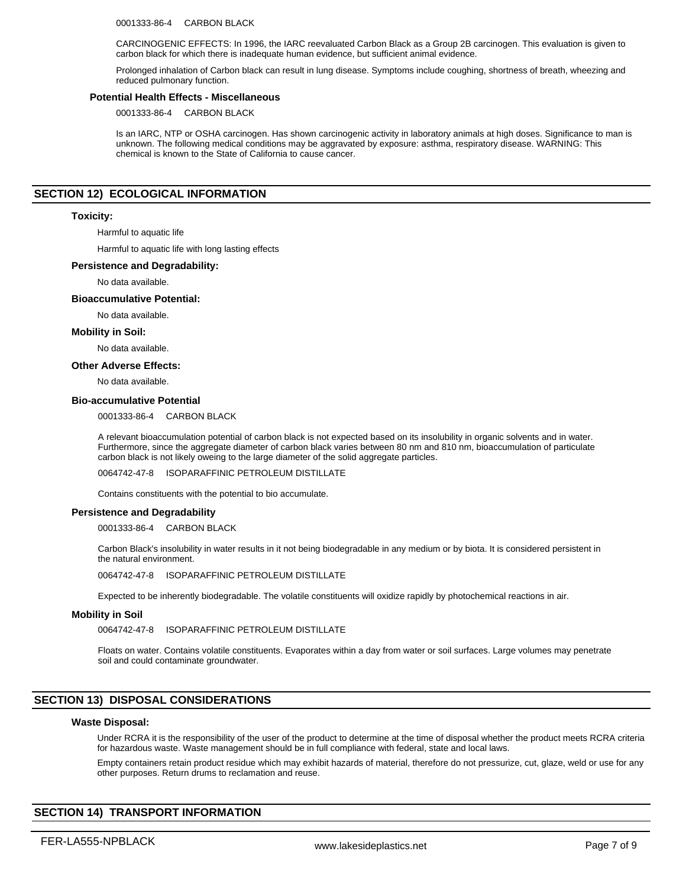0001333-86-4 CARBON BLACK

CARCINOGENIC EFFECTS: In 1996, the IARC reevaluated Carbon Black as a Group 2B carcinogen. This evaluation is given to carbon black for which there is inadequate human evidence, but sufficient animal evidence.

Prolonged inhalation of Carbon black can result in lung disease. Symptoms include coughing, shortness of breath, wheezing and reduced pulmonary function.

## **Potential Health Effects - Miscellaneous**

0001333-86-4 CARBON BLACK

Is an IARC, NTP or OSHA carcinogen. Has shown carcinogenic activity in laboratory animals at high doses. Significance to man is unknown. The following medical conditions may be aggravated by exposure: asthma, respiratory disease. WARNING: This chemical is known to the State of California to cause cancer.

# **SECTION 12) ECOLOGICAL INFORMATION**

## **Toxicity:**

Harmful to aquatic life

Harmful to aquatic life with long lasting effects

## **Persistence and Degradability:**

No data available.

### **Bioaccumulative Potential:**

No data available.

## **Mobility in Soil:**

No data available.

#### **Other Adverse Effects:**

No data available.

## **Bio-accumulative Potential**

0001333-86-4 CARBON BLACK

A relevant bioaccumulation potential of carbon black is not expected based on its insolubility in organic solvents and in water. Furthermore, since the aggregate diameter of carbon black varies between 80 nm and 810 nm, bioaccumulation of particulate carbon black is not likely oweing to the large diameter of the solid aggregate particles.

0064742-47-8 ISOPARAFFINIC PETROLEUM DISTILLATE

Contains constituents with the potential to bio accumulate.

#### **Persistence and Degradability**

0001333-86-4 CARBON BLACK

Carbon Black's insolubility in water results in it not being biodegradable in any medium or by biota. It is considered persistent in the natural environment.

0064742-47-8 ISOPARAFFINIC PETROLEUM DISTILLATE

Expected to be inherently biodegradable. The volatile constituents will oxidize rapidly by photochemical reactions in air.

## **Mobility in Soil**

0064742-47-8 ISOPARAFFINIC PETROLEUM DISTILLATE

Floats on water. Contains volatile constituents. Evaporates within a day from water or soil surfaces. Large volumes may penetrate soil and could contaminate groundwater.

## **SECTION 13) DISPOSAL CONSIDERATIONS**

#### **Waste Disposal:**

Under RCRA it is the responsibility of the user of the product to determine at the time of disposal whether the product meets RCRA criteria for hazardous waste. Waste management should be in full compliance with federal, state and local laws.

Empty containers retain product residue which may exhibit hazards of material, therefore do not pressurize, cut, glaze, weld or use for any other purposes. Return drums to reclamation and reuse.

# **SECTION 14) TRANSPORT INFORMATION**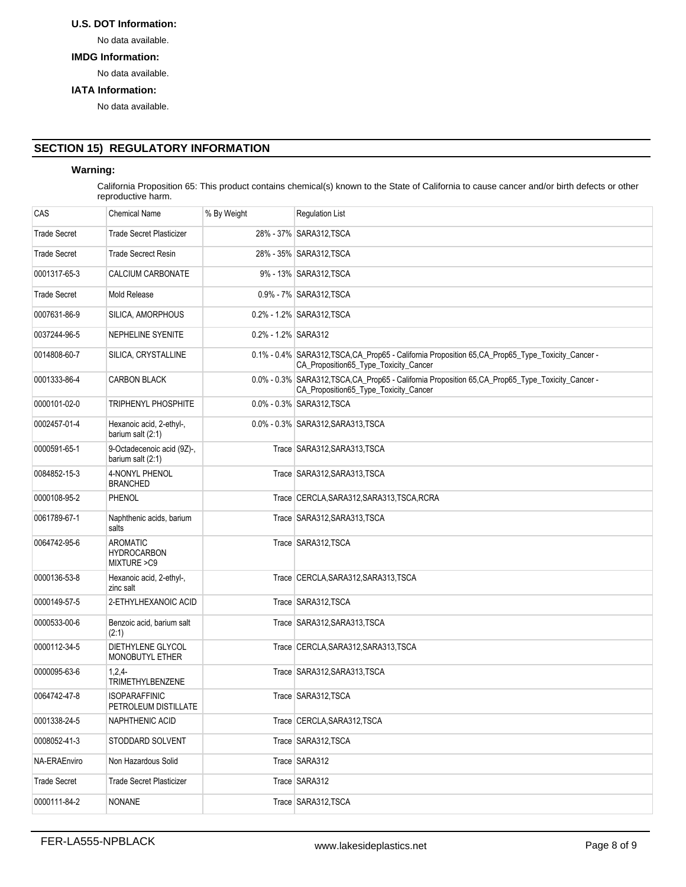# **U.S. DOT Information:**

No data available.

# **IMDG Information:**

No data available.

## **IATA Information:**

No data available.

# **SECTION 15) REGULATORY INFORMATION**

# **Warning:**

California Proposition 65: This product contains chemical(s) known to the State of California to cause cancer and/or birth defects or other reproductive harm.

| CAS                 | <b>Chemical Name</b>                            | % By Weight         | <b>Regulation List</b>                                                                                                                      |
|---------------------|-------------------------------------------------|---------------------|---------------------------------------------------------------------------------------------------------------------------------------------|
| <b>Trade Secret</b> | Trade Secret Plasticizer                        |                     | 28% - 37% SARA312 TSCA                                                                                                                      |
| <b>Trade Secret</b> | <b>Trade Secrect Resin</b>                      |                     | 28% - 35% SARA312, TSCA                                                                                                                     |
| 0001317-65-3        | CALCIUM CARBONATE                               |                     | 9% - 13% SARA312, TSCA                                                                                                                      |
| <b>Trade Secret</b> | Mold Release                                    |                     | 0.9% - 7% SARA312, TSCA                                                                                                                     |
| 0007631-86-9        | SILICA, AMORPHOUS                               |                     | 0.2% - 1.2% SARA312 TSCA                                                                                                                    |
| 0037244-96-5        | NEPHELINE SYENITE                               | 0.2% - 1.2% SARA312 |                                                                                                                                             |
| 0014808-60-7        | SILICA, CRYSTALLINE                             |                     | 0.1% - 0.4% SARA312, TSCA, CA_Prop65 - California Proposition 65, CA_Prop65_Type_Toxicity_Cancer -<br>CA_Proposition65_Type_Toxicity_Cancer |
| 0001333-86-4        | <b>CARBON BLACK</b>                             |                     | 0.0% - 0.3% SARA312, TSCA, CA_Prop65 - California Proposition 65, CA_Prop65_Type_Toxicity_Cancer -<br>CA_Proposition65_Type_Toxicity_Cancer |
| 0000101-02-0        | TRIPHENYL PHOSPHITE                             |                     | 0.0% - 0.3% SARA312 TSCA                                                                                                                    |
| 0002457-01-4        | Hexanoic acid, 2-ethyl-,<br>barium salt (2:1)   |                     | 0.0% - 0.3% SARA312, SARA313, TSCA                                                                                                          |
| 0000591-65-1        | 9-Octadecenoic acid (9Z)-,<br>barium salt (2:1) |                     | Trace SARA312, SARA313, TSCA                                                                                                                |
| 0084852-15-3        | 4-NONYL PHENOL<br><b>BRANCHED</b>               |                     | Trace SARA312, SARA313, TSCA                                                                                                                |
| 0000108-95-2        | PHENOL                                          |                     | Trace CERCLA, SARA312, SARA313, TSCA, RCRA                                                                                                  |
| 0061789-67-1        | Naphthenic acids, barium<br>salts               |                     | Trace SARA312, SARA313, TSCA                                                                                                                |
| 0064742-95-6        | AROMATIC<br><b>HYDROCARBON</b><br>MIXTURE > C9  |                     | Trace SARA312, TSCA                                                                                                                         |
| 0000136-53-8        | Hexanoic acid, 2-ethyl-,<br>zinc salt           |                     | Trace CERCLA, SARA312, SARA313, TSCA                                                                                                        |
| 0000149-57-5        | 2-ETHYLHEXANOIC ACID                            |                     | Trace SARA312, TSCA                                                                                                                         |
| 0000533-00-6        | Benzoic acid, barium salt<br>(2:1)              |                     | Trace SARA312, SARA313, TSCA                                                                                                                |
| 0000112-34-5        | DIETHYLENE GLYCOL<br>MONOBUTYL ETHER            |                     | Trace CERCLA, SARA312, SARA313, TSCA                                                                                                        |
| 0000095-63-6        | $1,2,4-$<br><b>TRIMETHYLBENZENE</b>             |                     | Trace SARA312, SARA313, TSCA                                                                                                                |
| 0064742-47-8        | ISOPARAFFINIC<br>PETROLEUM DISTILLATE           |                     | Trace SARA312, TSCA                                                                                                                         |
| 0001338-24-5        | NAPHTHENIC ACID                                 |                     | Trace CERCLA, SARA312, TSCA                                                                                                                 |
| 0008052-41-3        | STODDARD SOLVENT                                |                     | Trace SARA312, TSCA                                                                                                                         |
| NA-ERAEnviro        | Non Hazardous Solid                             |                     | Trace SARA312                                                                                                                               |
| <b>Trade Secret</b> | <b>Trade Secret Plasticizer</b>                 |                     | Trace SARA312                                                                                                                               |
| 0000111-84-2        | NONANE                                          |                     | Trace SARA312, TSCA                                                                                                                         |